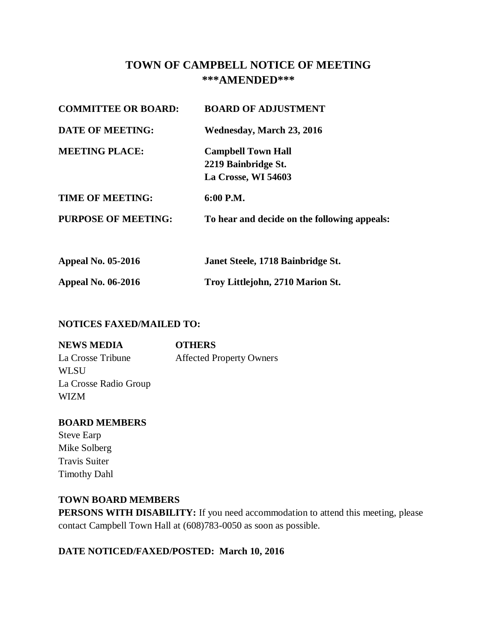# **TOWN OF CAMPBELL NOTICE OF MEETING \*\*\*AMENDED\*\*\***

| <b>COMMITTEE OR BOARD:</b> | <b>BOARD OF ADJUSTMENT</b>                                              |
|----------------------------|-------------------------------------------------------------------------|
| <b>DATE OF MEETING:</b>    | Wednesday, March 23, 2016                                               |
| <b>MEETING PLACE:</b>      | <b>Campbell Town Hall</b><br>2219 Bainbridge St.<br>La Crosse, WI 54603 |
| <b>TIME OF MEETING:</b>    | $6:00$ P.M.                                                             |
| <b>PURPOSE OF MEETING:</b> | To hear and decide on the following appeals:                            |
| <b>Appeal No. 05-2016</b>  | Janet Steele, 1718 Bainbridge St.                                       |

**Appeal No. 06-2016 Troy Littlejohn, 2710 Marion St.** 

# **NOTICES FAXED/MAILED TO:**

| <b>NEWS MEDIA</b>     | <b>OTHERS</b>                   |
|-----------------------|---------------------------------|
| La Crosse Tribune     | <b>Affected Property Owners</b> |
| WLSU                  |                                 |
| La Crosse Radio Group |                                 |
| <b>WIZM</b>           |                                 |

# **BOARD MEMBERS**

Steve Earp Mike Solberg Travis Suiter Timothy Dahl

# **TOWN BOARD MEMBERS**

**PERSONS WITH DISABILITY:** If you need accommodation to attend this meeting, please contact Campbell Town Hall at (608)783-0050 as soon as possible.

# **DATE NOTICED/FAXED/POSTED: March 10, 2016**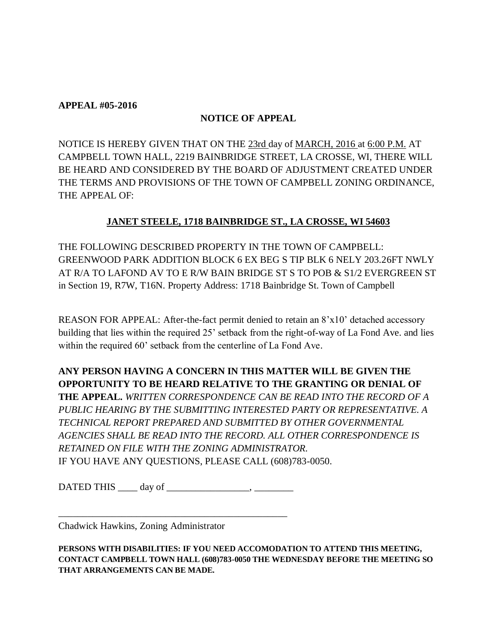#### **APPEAL #05-2016**

# **NOTICE OF APPEAL**

NOTICE IS HEREBY GIVEN THAT ON THE 23rd day of MARCH, 2016 at 6:00 P.M. AT CAMPBELL TOWN HALL, 2219 BAINBRIDGE STREET, LA CROSSE, WI, THERE WILL BE HEARD AND CONSIDERED BY THE BOARD OF ADJUSTMENT CREATED UNDER THE TERMS AND PROVISIONS OF THE TOWN OF CAMPBELL ZONING ORDINANCE, THE APPEAL OF:

# **JANET STEELE, 1718 BAINBRIDGE ST., LA CROSSE, WI 54603**

THE FOLLOWING DESCRIBED PROPERTY IN THE TOWN OF CAMPBELL: GREENWOOD PARK ADDITION BLOCK 6 EX BEG S TIP BLK 6 NELY 203.26FT NWLY AT R/A TO LAFOND AV TO E R/W BAIN BRIDGE ST S TO POB & S1/2 EVERGREEN ST in Section 19, R7W, T16N. Property Address: 1718 Bainbridge St. Town of Campbell

REASON FOR APPEAL: After-the-fact permit denied to retain an 8'x10' detached accessory building that lies within the required 25' setback from the right-of-way of La Fond Ave. and lies within the required 60' setback from the centerline of La Fond Ave.

**ANY PERSON HAVING A CONCERN IN THIS MATTER WILL BE GIVEN THE OPPORTUNITY TO BE HEARD RELATIVE TO THE GRANTING OR DENIAL OF THE APPEAL.** *WRITTEN CORRESPONDENCE CAN BE READ INTO THE RECORD OF A PUBLIC HEARING BY THE SUBMITTING INTERESTED PARTY OR REPRESENTATIVE. A TECHNICAL REPORT PREPARED AND SUBMITTED BY OTHER GOVERNMENTAL AGENCIES SHALL BE READ INTO THE RECORD. ALL OTHER CORRESPONDENCE IS RETAINED ON FILE WITH THE ZONING ADMINISTRATOR.*  IF YOU HAVE ANY QUESTIONS, PLEASE CALL (608)783-0050.

DATED THIS day of particle in the set of the set of the set of  $\sim$ 

\_\_\_\_\_\_\_\_\_\_\_\_\_\_\_\_\_\_\_\_\_\_\_\_\_\_\_\_\_\_\_\_\_\_\_\_\_\_\_\_\_\_\_\_\_\_\_

Chadwick Hawkins, Zoning Administrator

**PERSONS WITH DISABILITIES: IF YOU NEED ACCOMODATION TO ATTEND THIS MEETING, CONTACT CAMPBELL TOWN HALL (608)783-0050 THE WEDNESDAY BEFORE THE MEETING SO THAT ARRANGEMENTS CAN BE MADE.**